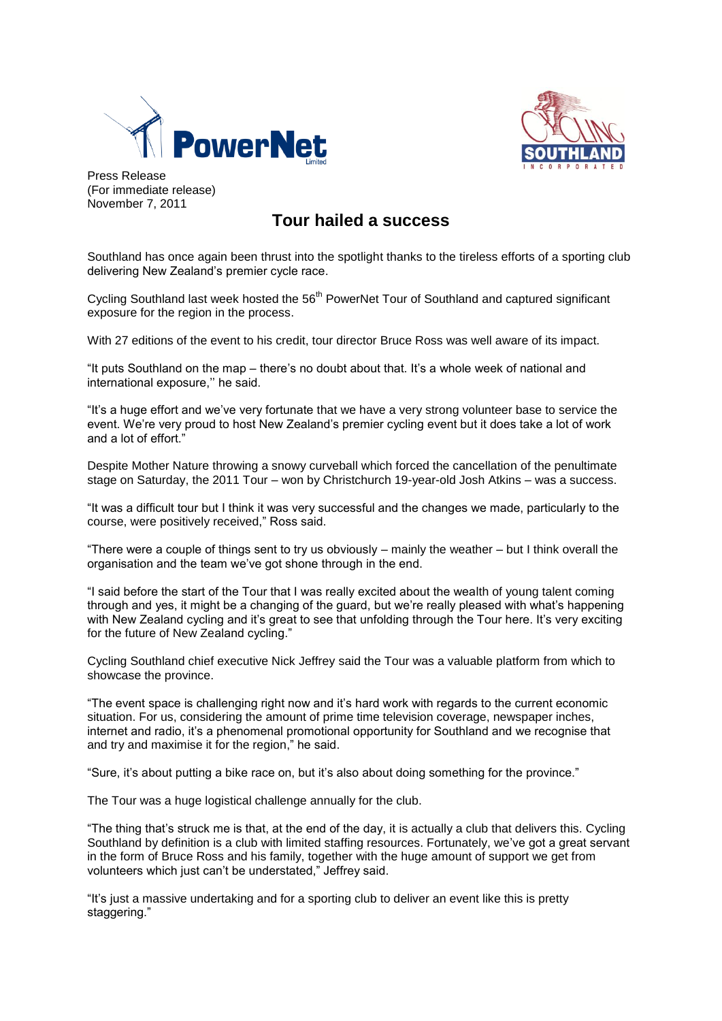



Press Release (For immediate release) November 7, 2011

## **Tour hailed a success**

Southland has once again been thrust into the spotlight thanks to the tireless efforts of a sporting club delivering New Zealand's premier cycle race.

Cycling Southland last week hosted the 56<sup>th</sup> PowerNet Tour of Southland and captured significant exposure for the region in the process.

With 27 editions of the event to his credit, tour director Bruce Ross was well aware of its impact.

"It puts Southland on the map – there's no doubt about that. It's a whole week of national and international exposure,'' he said.

"It's a huge effort and we've very fortunate that we have a very strong volunteer base to service the event. We're very proud to host New Zealand's premier cycling event but it does take a lot of work and a lot of effort."

Despite Mother Nature throwing a snowy curveball which forced the cancellation of the penultimate stage on Saturday, the 2011 Tour – won by Christchurch 19-year-old Josh Atkins – was a success.

"It was a difficult tour but I think it was very successful and the changes we made, particularly to the course, were positively received," Ross said.

"There were a couple of things sent to try us obviously – mainly the weather – but I think overall the organisation and the team we've got shone through in the end.

"I said before the start of the Tour that I was really excited about the wealth of young talent coming through and yes, it might be a changing of the guard, but we're really pleased with what's happening with New Zealand cycling and it's great to see that unfolding through the Tour here. It's very exciting for the future of New Zealand cycling."

Cycling Southland chief executive Nick Jeffrey said the Tour was a valuable platform from which to showcase the province.

"The event space is challenging right now and it's hard work with regards to the current economic situation. For us, considering the amount of prime time television coverage, newspaper inches, internet and radio, it's a phenomenal promotional opportunity for Southland and we recognise that and try and maximise it for the region," he said.

"Sure, it's about putting a bike race on, but it's also about doing something for the province."

The Tour was a huge logistical challenge annually for the club.

"The thing that's struck me is that, at the end of the day, it is actually a club that delivers this. Cycling Southland by definition is a club with limited staffing resources. Fortunately, we've got a great servant in the form of Bruce Ross and his family, together with the huge amount of support we get from volunteers which just can't be understated," Jeffrey said.

"It's just a massive undertaking and for a sporting club to deliver an event like this is pretty staggering."